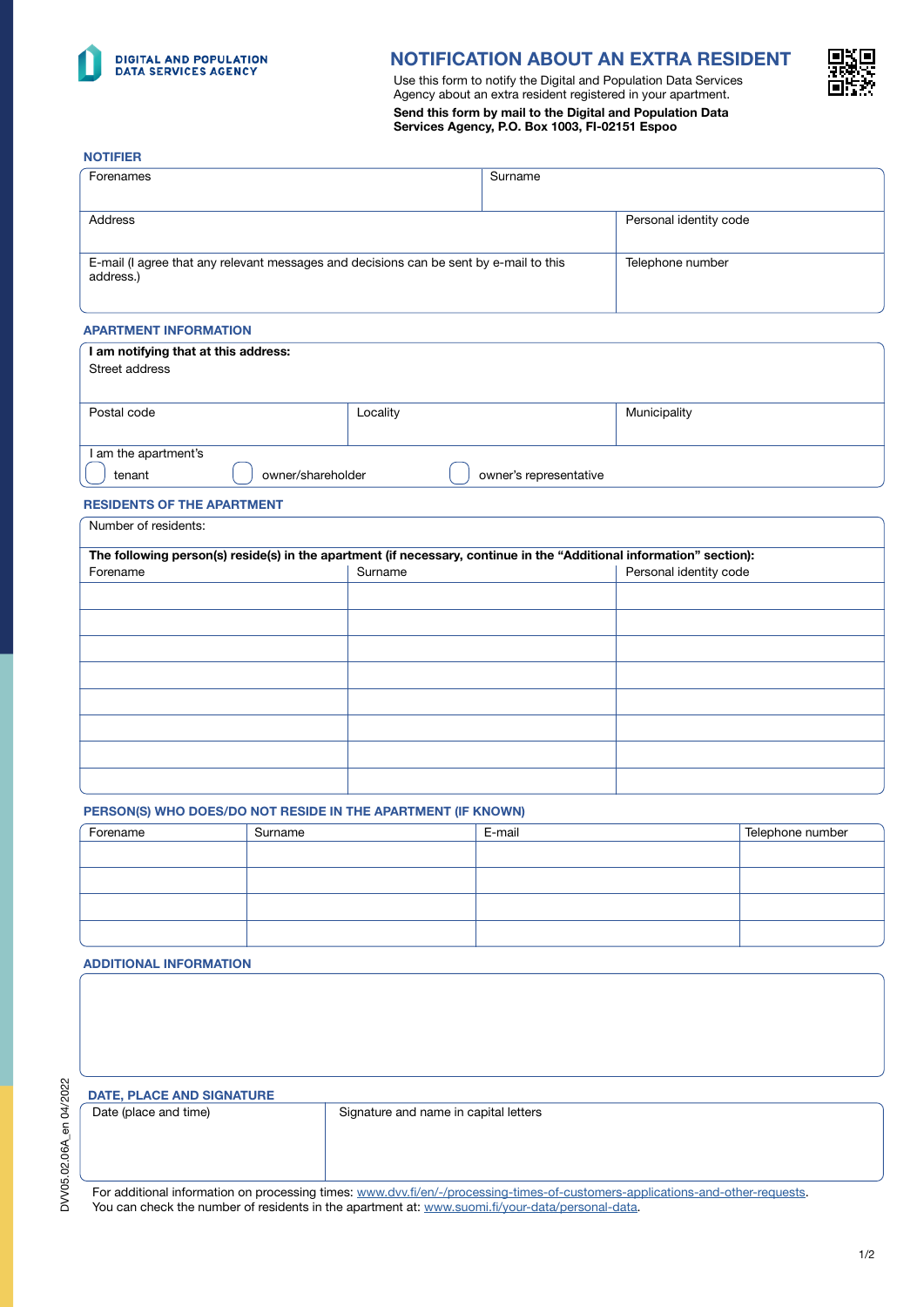

# NOTIFICATION ABOUT AN EXTRA RESIDENT

Use this form to notify the Digital and Population Data Services Agency about an extra resident registered in your apartment. Send this form by mail to the Digital and Population Data Services Agency, P.O. Box 1003, FI-02151 Espoo



#### NOTIFIER

| Forenames                                                                                           | Surname |                        |
|-----------------------------------------------------------------------------------------------------|---------|------------------------|
|                                                                                                     |         |                        |
| Address                                                                                             |         | Personal identity code |
|                                                                                                     |         |                        |
| E-mail (I agree that any relevant messages and decisions can be sent by e-mail to this<br>address.) |         | Telephone number       |

### APARTMENT INFORMATION

| I am notifying that at this address:<br>Street address |                        |              |
|--------------------------------------------------------|------------------------|--------------|
| Postal code                                            | Locality               | Municipality |
| I am the apartment's<br>owner/shareholder<br>tenant    | owner's representative |              |

### RESIDENTS OF THE APARTMENT

| The following person(s) reside(s) in the apartment (if necessary, continue in the "Additional information" section): |         |                        |
|----------------------------------------------------------------------------------------------------------------------|---------|------------------------|
| Forename                                                                                                             | Surname | Personal identity code |
|                                                                                                                      |         |                        |
|                                                                                                                      |         |                        |
|                                                                                                                      |         |                        |
|                                                                                                                      |         |                        |
|                                                                                                                      |         |                        |
|                                                                                                                      |         |                        |
|                                                                                                                      |         |                        |
|                                                                                                                      |         |                        |

### PERSON(S) WHO DOES/DO NOT RESIDE IN THE APARTMENT (IF KNOWN)

| Forename | Surname | E-mail | Telephone number |
|----------|---------|--------|------------------|
|          |         |        |                  |
|          |         |        |                  |
|          |         |        |                  |
|          |         |        |                  |

## ADDITIONAL INFORMATION

| <b>DATE, PLACE AND SIGNATURE</b> |                                       |
|----------------------------------|---------------------------------------|
| Date (place and time)            | Signature and name in capital letters |
|                                  |                                       |

For additional information on processing times: www[.dvv.fi/en/-/processing-times-of-customers-applications-and-other-requests](https://dvv.fi/en/-/processing-times-of-customers-applications-and-other-requests).

You can check the number of residents in the apartment at: [www.suomi.fi/your-data/personal-data.](https://www.suomi.fi/your-data/personal-data)